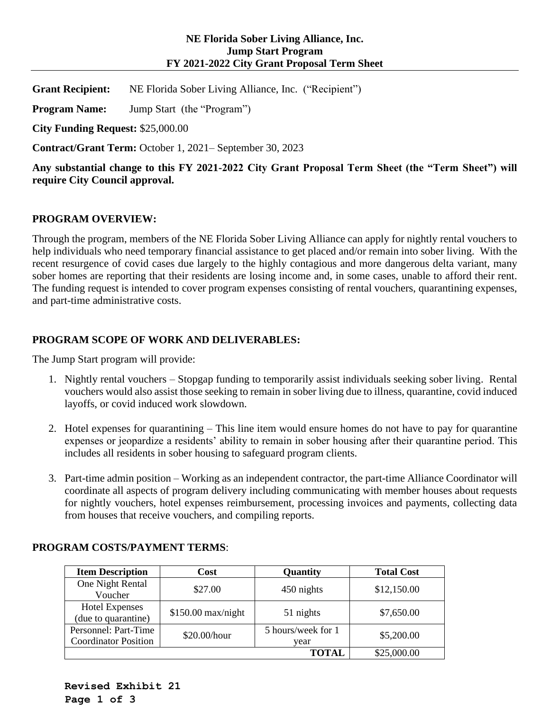**Grant Recipient:** NE Florida Sober Living Alliance, Inc. ("Recipient")

**Program Name:** Jump Start (the "Program")

**City Funding Request:** \$25,000.00

**Contract/Grant Term:** October 1, 2021– September 30, 2023

**Any substantial change to this FY 2021-2022 City Grant Proposal Term Sheet (the "Term Sheet") will require City Council approval.** 

## **PROGRAM OVERVIEW:**

Through the program, members of the NE Florida Sober Living Alliance can apply for nightly rental vouchers to help individuals who need temporary financial assistance to get placed and/or remain into sober living. With the recent resurgence of covid cases due largely to the highly contagious and more dangerous delta variant, many sober homes are reporting that their residents are losing income and, in some cases, unable to afford their rent. The funding request is intended to cover program expenses consisting of rental vouchers, quarantining expenses, and part-time administrative costs.

## **PROGRAM SCOPE OF WORK AND DELIVERABLES:**

The Jump Start program will provide:

- 1. Nightly rental vouchers Stopgap funding to temporarily assist individuals seeking sober living. Rental vouchers would also assist those seeking to remain in sober living due to illness, quarantine, covid induced layoffs, or covid induced work slowdown.
- 2. Hotel expenses for quarantining This line item would ensure homes do not have to pay for quarantine expenses or jeopardize a residents' ability to remain in sober housing after their quarantine period. This includes all residents in sober housing to safeguard program clients.
- 3. Part-time admin position Working as an independent contractor, the part-time Alliance Coordinator will coordinate all aspects of program delivery including communicating with member houses about requests for nightly vouchers, hotel expenses reimbursement, processing invoices and payments, collecting data from houses that receive vouchers, and compiling reports.

| <b>Item Description</b>     | Cost                | Quantity           | <b>Total Cost</b> |  |  |
|-----------------------------|---------------------|--------------------|-------------------|--|--|
| One Night Rental            | \$27.00             |                    | \$12,150.00       |  |  |
| Voucher                     |                     | 450 nights         |                   |  |  |
| <b>Hotel Expenses</b>       | $$150.00$ max/night |                    | \$7,650.00        |  |  |
| (due to quarantine)         |                     | 51 nights          |                   |  |  |
| Personnel: Part-Time        |                     | 5 hours/week for 1 | \$5,200.00        |  |  |
| <b>Coordinator Position</b> | \$20.00/hour        | vear               |                   |  |  |
|                             |                     | ГОТАІ.             | \$25,000.00       |  |  |

### **PROGRAM COSTS/PAYMENT TERMS**: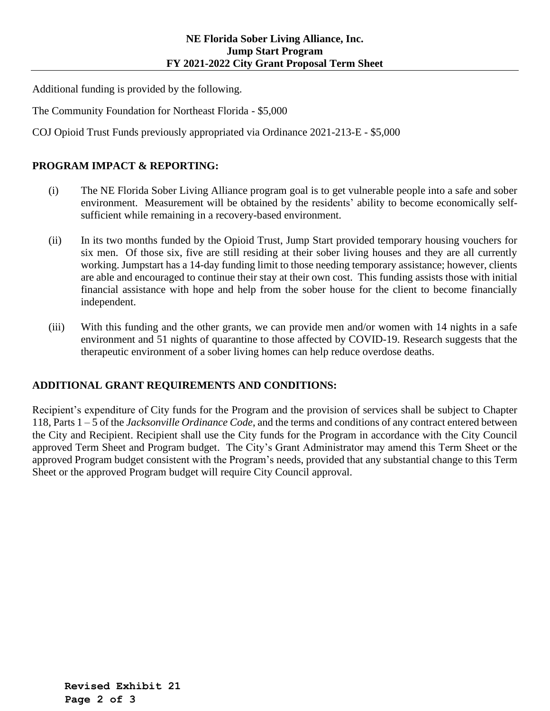Additional funding is provided by the following.

The Community Foundation for Northeast Florida - \$5,000

COJ Opioid Trust Funds previously appropriated via Ordinance 2021-213-E - \$5,000

# **PROGRAM IMPACT & REPORTING:**

- (i) The NE Florida Sober Living Alliance program goal is to get vulnerable people into a safe and sober environment. Measurement will be obtained by the residents' ability to become economically selfsufficient while remaining in a recovery-based environment.
- (ii) In its two months funded by the Opioid Trust, Jump Start provided temporary housing vouchers for six men. Of those six, five are still residing at their sober living houses and they are all currently working. Jumpstart has a 14-day funding limit to those needing temporary assistance; however, clients are able and encouraged to continue their stay at their own cost. This funding assists those with initial financial assistance with hope and help from the sober house for the client to become financially independent.
- (iii) With this funding and the other grants, we can provide men and/or women with 14 nights in a safe environment and 51 nights of quarantine to those affected by COVID-19. Research suggests that the therapeutic environment of a sober living homes can help reduce overdose deaths.

# **ADDITIONAL GRANT REQUIREMENTS AND CONDITIONS:**

Recipient's expenditure of City funds for the Program and the provision of services shall be subject to Chapter 118, Parts 1 – 5 of the *Jacksonville Ordinance Code*, and the terms and conditions of any contract entered between the City and Recipient. Recipient shall use the City funds for the Program in accordance with the City Council approved Term Sheet and Program budget. The City's Grant Administrator may amend this Term Sheet or the approved Program budget consistent with the Program's needs, provided that any substantial change to this Term Sheet or the approved Program budget will require City Council approval.